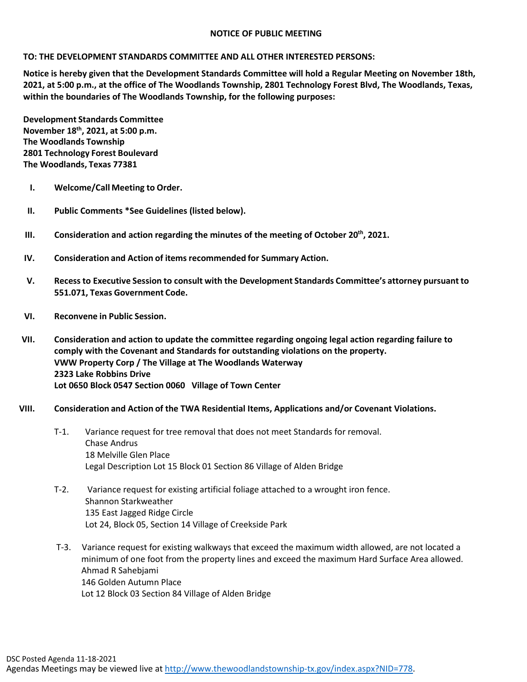### **NOTICE OF PUBLIC MEETING**

## **TO: THE DEVELOPMENT STANDARDS COMMITTEE AND ALL OTHER INTERESTED PERSONS:**

**Notice is hereby given that the Development Standards Committee will hold a Regular Meeting on November 18th, 2021, at 5:00 p.m., at the office of The Woodlands Township, 2801 Technology Forest Blvd, The Woodlands, Texas, within the boundaries of The Woodlands Township, for the following purposes:**

**Development Standards Committee November 18th, 2021, at 5:00 p.m. The Woodlands Township 2801 Technology Forest Boulevard The Woodlands, Texas 77381**

- **I. Welcome/Call Meeting to Order.**
- **II. Public Comments \*See Guidelines (listed below).**
- **III. Consideration and action regarding the minutes of the meeting of October 20th, 2021.**
- **IV. Consideration and Action of items recommended for Summary Action.**
- **V. Recessto Executive Session to consult with the Development Standards Committee's attorney pursuant to 551.071, Texas Government Code.**
- **VI. Reconvene in Public Session.**
- **VII. Consideration and action to update the committee regarding ongoing legal action regarding failure to comply with the Covenant and Standards for outstanding violations on the property. VWW Property Corp / The Village at The Woodlands Waterway 2323 Lake Robbins Drive Lot 0650 Block 0547 Section 0060 Village of Town Center**

#### **VIII. Consideration and Action of the TWA Residential Items, Applications and/or Covenant Violations.**

- T-1. Variance request for tree removal that does not meet Standards for removal. Chase Andrus 18 Melville Glen Place Legal Description Lot 15 Block 01 Section 86 Village of Alden Bridge
- T-2. Variance request for existing artificial foliage attached to a wrought iron fence. Shannon Starkweather 135 East Jagged Ridge Circle Lot 24, Block 05, Section 14 Village of Creekside Park
- T-3. Variance request for existing walkways that exceed the maximum width allowed, are not located a minimum of one foot from the property lines and exceed the maximum Hard Surface Area allowed. Ahmad R Sahebjami 146 Golden Autumn Place Lot 12 Block 03 Section 84 Village of Alden Bridge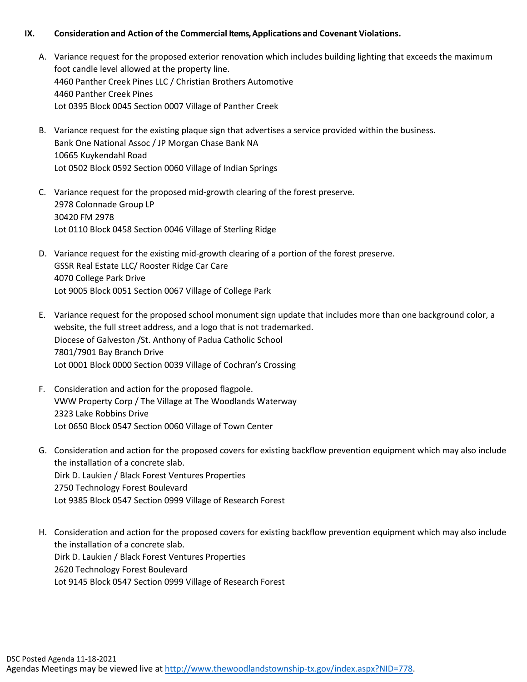## **IX. Consideration and Action of the Commercial Items, Applications and Covenant Violations.**

- A. Variance request for the proposed exterior renovation which includes building lighting that exceeds the maximum foot candle level allowed at the property line. 4460 Panther Creek Pines LLC / Christian Brothers Automotive 4460 Panther Creek Pines Lot 0395 Block 0045 Section 0007 Village of Panther Creek
- B. Variance request for the existing plaque sign that advertises a service provided within the business. Bank One National Assoc / JP Morgan Chase Bank NA 10665 Kuykendahl Road Lot 0502 Block 0592 Section 0060 Village of Indian Springs
- C. Variance request for the proposed mid-growth clearing of the forest preserve. 2978 Colonnade Group LP 30420 FM 2978 Lot 0110 Block 0458 Section 0046 Village of Sterling Ridge
- D. Variance request for the existing mid-growth clearing of a portion of the forest preserve. GSSR Real Estate LLC/ Rooster Ridge Car Care 4070 College Park Drive Lot 9005 Block 0051 Section 0067 Village of College Park
- E. Variance request for the proposed school monument sign update that includes more than one background color, a website, the full street address, and a logo that is not trademarked. Diocese of Galveston /St. Anthony of Padua Catholic School 7801/7901 Bay Branch Drive Lot 0001 Block 0000 Section 0039 Village of Cochran's Crossing
- F. Consideration and action for the proposed flagpole. VWW Property Corp / The Village at The Woodlands Waterway 2323 Lake Robbins Drive Lot 0650 Block 0547 Section 0060 Village of Town Center
- G. Consideration and action for the proposed covers for existing backflow prevention equipment which may also include the installation of a concrete slab. Dirk D. Laukien / Black Forest Ventures Properties 2750 Technology Forest Boulevard Lot 9385 Block 0547 Section 0999 Village of Research Forest
- H. Consideration and action for the proposed covers for existing backflow prevention equipment which may also include the installation of a concrete slab. Dirk D. Laukien / Black Forest Ventures Properties 2620 Technology Forest Boulevard Lot 9145 Block 0547 Section 0999 Village of Research Forest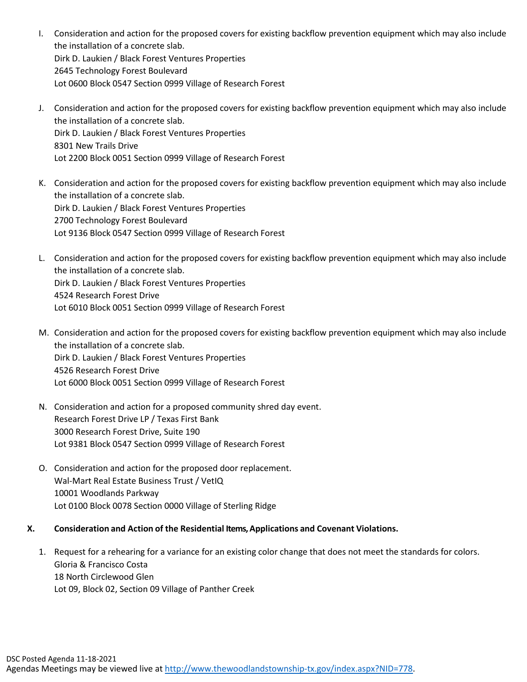- I. Consideration and action for the proposed covers for existing backflow prevention equipment which may also include the installation of a concrete slab. Dirk D. Laukien / Black Forest Ventures Properties 2645 Technology Forest Boulevard Lot 0600 Block 0547 Section 0999 Village of Research Forest
- J. Consideration and action for the proposed covers for existing backflow prevention equipment which may also include the installation of a concrete slab. Dirk D. Laukien / Black Forest Ventures Properties 8301 New Trails Drive Lot 2200 Block 0051 Section 0999 Village of Research Forest
- K. Consideration and action for the proposed covers for existing backflow prevention equipment which may also include the installation of a concrete slab. Dirk D. Laukien / Black Forest Ventures Properties 2700 Technology Forest Boulevard Lot 9136 Block 0547 Section 0999 Village of Research Forest
- L. Consideration and action for the proposed covers for existing backflow prevention equipment which may also include the installation of a concrete slab. Dirk D. Laukien / Black Forest Ventures Properties 4524 Research Forest Drive Lot 6010 Block 0051 Section 0999 Village of Research Forest
- M. Consideration and action for the proposed covers for existing backflow prevention equipment which may also include the installation of a concrete slab. Dirk D. Laukien / Black Forest Ventures Properties 4526 Research Forest Drive Lot 6000 Block 0051 Section 0999 Village of Research Forest
- N. Consideration and action for a proposed community shred day event. Research Forest Drive LP / Texas First Bank 3000 Research Forest Drive, Suite 190 Lot 9381 Block 0547 Section 0999 Village of Research Forest
- O. Consideration and action for the proposed door replacement. Wal-Mart Real Estate Business Trust / VetIQ 10001 Woodlands Parkway Lot 0100 Block 0078 Section 0000 Village of Sterling Ridge
- **X. Consideration and Action of the Residential Items, Applications and Covenant Violations.**
	- 1. Request for a rehearing for a variance for an existing color change that does not meet the standards for colors. Gloria & Francisco Costa 18 North Circlewood Glen Lot 09, Block 02, Section 09 Village of Panther Creek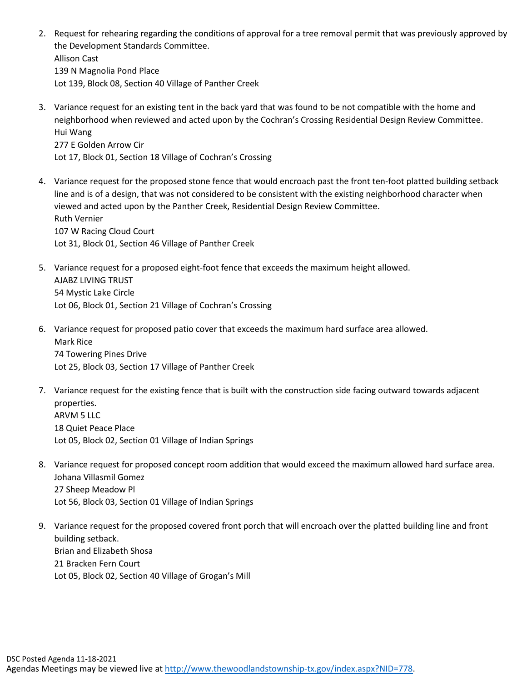- 2. Request for rehearing regarding the conditions of approval for a tree removal permit that was previously approved by the Development Standards Committee. Allison Cast 139 N Magnolia Pond Place Lot 139, Block 08, Section 40 Village of Panther Creek
- 3. Variance request for an existing tent in the back yard that was found to be not compatible with the home and neighborhood when reviewed and acted upon by the Cochran's Crossing Residential Design Review Committee. Hui Wang 277 E Golden Arrow Cir Lot 17, Block 01, Section 18 Village of Cochran's Crossing
- 4. Variance request for the proposed stone fence that would encroach past the front ten-foot platted building setback line and is of a design, that was not considered to be consistent with the existing neighborhood character when viewed and acted upon by the Panther Creek, Residential Design Review Committee. Ruth Vernier 107 W Racing Cloud Court Lot 31, Block 01, Section 46 Village of Panther Creek
- 5. Variance request for a proposed eight-foot fence that exceeds the maximum height allowed. AJABZ LIVING TRUST 54 Mystic Lake Circle Lot 06, Block 01, Section 21 Village of Cochran's Crossing
- 6. Variance request for proposed patio cover that exceeds the maximum hard surface area allowed. Mark Rice 74 Towering Pines Drive

Lot 25, Block 03, Section 17 Village of Panther Creek

- 7. Variance request for the existing fence that is built with the construction side facing outward towards adjacent properties. ARVM 5 LLC 18 Quiet Peace Place Lot 05, Block 02, Section 01 Village of Indian Springs
- 8. Variance request for proposed concept room addition that would exceed the maximum allowed hard surface area. Johana Villasmil Gomez 27 Sheep Meadow Pl Lot 56, Block 03, Section 01 Village of Indian Springs
- 9. Variance request for the proposed covered front porch that will encroach over the platted building line and front building setback. Brian and Elizabeth Shosa 21 Bracken Fern Court Lot 05, Block 02, Section 40 Village of Grogan's Mill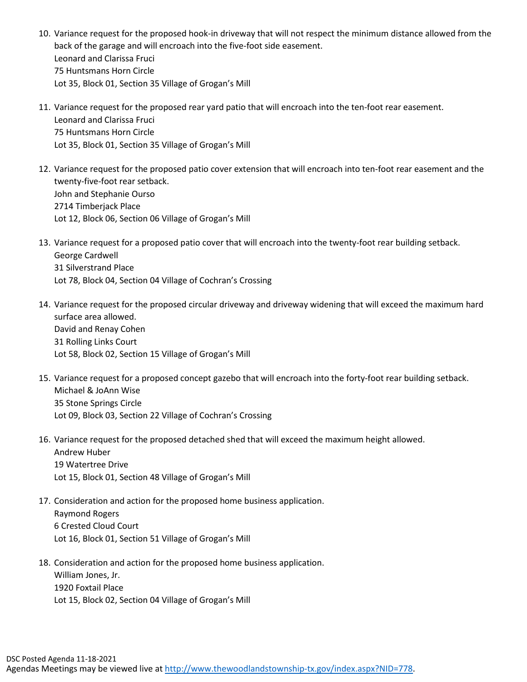- 10. Variance request for the proposed hook-in driveway that will not respect the minimum distance allowed from the back of the garage and will encroach into the five-foot side easement. Leonard and Clarissa Fruci 75 Huntsmans Horn Circle Lot 35, Block 01, Section 35 Village of Grogan's Mill
- 11. Variance request for the proposed rear yard patio that will encroach into the ten-foot rear easement. Leonard and Clarissa Fruci 75 Huntsmans Horn Circle Lot 35, Block 01, Section 35 Village of Grogan's Mill
- 12. Variance request for the proposed patio cover extension that will encroach into ten-foot rear easement and the twenty-five-foot rear setback. John and Stephanie Ourso 2714 Timberjack Place Lot 12, Block 06, Section 06 Village of Grogan's Mill
- 13. Variance request for a proposed patio cover that will encroach into the twenty-foot rear building setback. George Cardwell 31 Silverstrand Place Lot 78, Block 04, Section 04 Village of Cochran's Crossing
- 14. Variance request for the proposed circular driveway and driveway widening that will exceed the maximum hard surface area allowed. David and Renay Cohen 31 Rolling Links Court Lot 58, Block 02, Section 15 Village of Grogan's Mill
- 15. Variance request for a proposed concept gazebo that will encroach into the forty-foot rear building setback. Michael & JoAnn Wise 35 Stone Springs Circle Lot 09, Block 03, Section 22 Village of Cochran's Crossing
- 16. Variance request for the proposed detached shed that will exceed the maximum height allowed. Andrew Huber 19 Watertree Drive Lot 15, Block 01, Section 48 Village of Grogan's Mill
- 17. Consideration and action for the proposed home business application. Raymond Rogers 6 Crested Cloud Court Lot 16, Block 01, Section 51 Village of Grogan's Mill
- 18. Consideration and action for the proposed home business application. William Jones, Jr. 1920 Foxtail Place Lot 15, Block 02, Section 04 Village of Grogan's Mill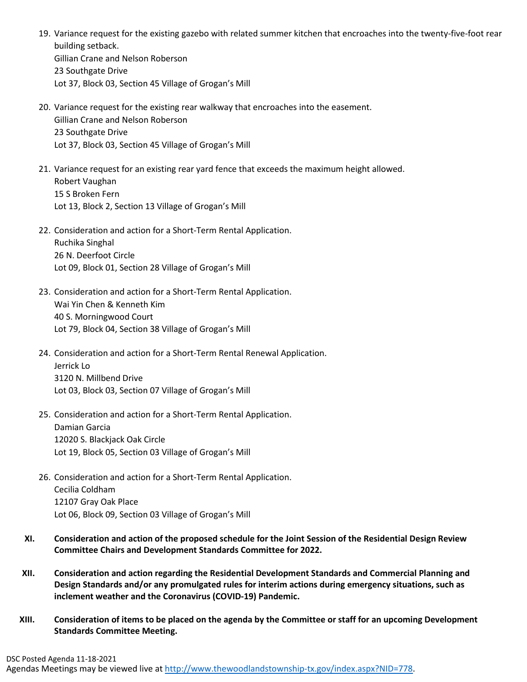- 19. Variance request for the existing gazebo with related summer kitchen that encroaches into the twenty-five-foot rear building setback. Gillian Crane and Nelson Roberson 23 Southgate Drive Lot 37, Block 03, Section 45 Village of Grogan's Mill
- 20. Variance request for the existing rear walkway that encroaches into the easement. Gillian Crane and Nelson Roberson 23 Southgate Drive Lot 37, Block 03, Section 45 Village of Grogan's Mill
- 21. Variance request for an existing rear yard fence that exceeds the maximum height allowed. Robert Vaughan 15 S Broken Fern Lot 13, Block 2, Section 13 Village of Grogan's Mill
- 22. Consideration and action for a Short-Term Rental Application. Ruchika Singhal 26 N. Deerfoot Circle Lot 09, Block 01, Section 28 Village of Grogan's Mill
- 23. Consideration and action for a Short-Term Rental Application. Wai Yin Chen & Kenneth Kim 40 S. Morningwood Court Lot 79, Block 04, Section 38 Village of Grogan's Mill
- 24. Consideration and action for a Short-Term Rental Renewal Application. Jerrick Lo 3120 N. Millbend Drive Lot 03, Block 03, Section 07 Village of Grogan's Mill
- 25. Consideration and action for a Short-Term Rental Application. Damian Garcia

12020 S. Blackjack Oak Circle Lot 19, Block 05, Section 03 Village of Grogan's Mill

- 26. Consideration and action for a Short-Term Rental Application. Cecilia Coldham 12107 Gray Oak Place Lot 06, Block 09, Section 03 Village of Grogan's Mill
- **XI. Consideration and action of the proposed schedule for the Joint Session of the Residential Design Review Committee Chairs and Development Standards Committee for 2022.**
- **XII. Consideration and action regarding the Residential Development Standards and Commercial Planning and Design Standards and/or any promulgated rules for interim actions during emergency situations, such as inclement weather and the Coronavirus (COVID-19) Pandemic.**
- **XIII. Consideration of items to be placed on the agenda by the Committee or staff for an upcoming Development Standards Committee Meeting.**